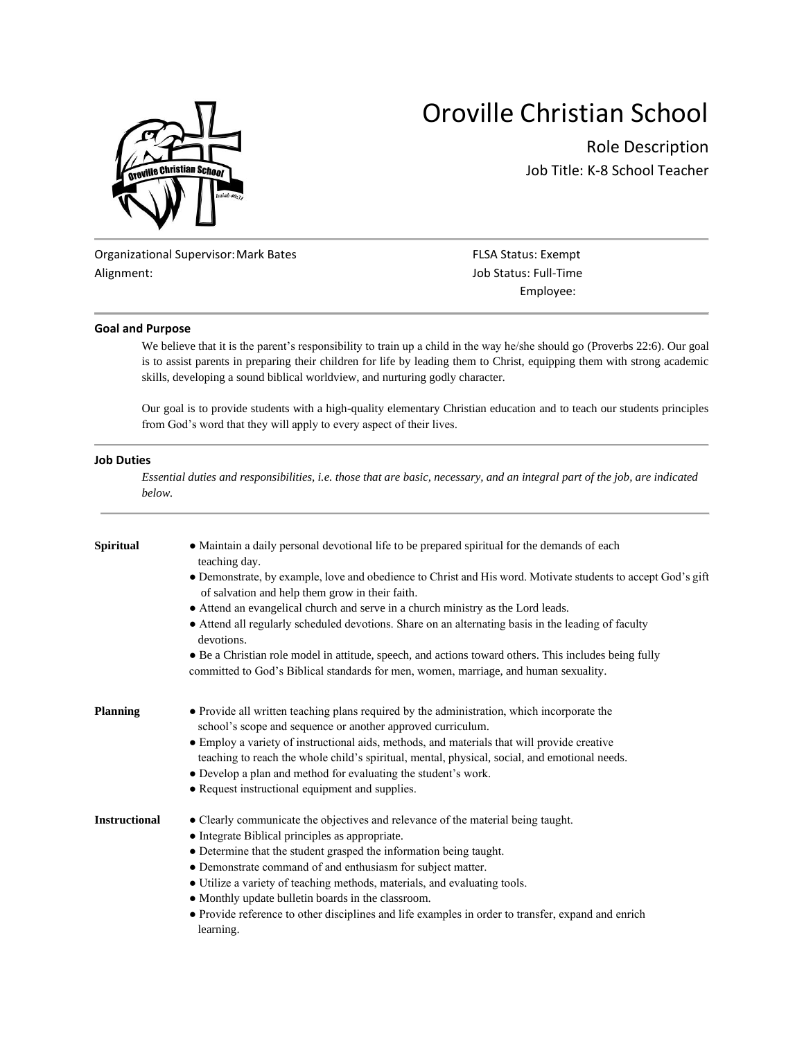

# Oroville Christian School

Role Description Job Title: K-8 School Teacher

Organizational Supervisor: Mark Bates FLSA Status: Exempt Alignment: **Alignment**: **Job Status: Full-Time** 

Employee:

#### **Goal and Purpose**

We believe that it is the parent's responsibility to train up a child in the way he/she should go (Proverbs 22:6). Our goal is to assist parents in preparing their children for life by leading them to Christ, equipping them with strong academic skills, developing a sound biblical worldview, and nurturing godly character.

Our goal is to provide students with a high-quality elementary Christian education and to teach our students principles from God's word that they will apply to every aspect of their lives.

#### **Job Duties**

*Essential duties and responsibilities, i.e. those that are basic, necessary, and an integral part of the job, are indicated below.*

| Spiritual            | • Maintain a daily personal devotional life to be prepared spiritual for the demands of each<br>teaching day.<br>• Demonstrate, by example, love and obedience to Christ and His word. Motivate students to accept God's gift<br>of salvation and help them grow in their faith.<br>• Attend an evangelical church and serve in a church ministry as the Lord leads.<br>• Attend all regularly scheduled devotions. Share on an alternating basis in the leading of faculty<br>devotions. |                                                                                                                                                           |  |  |                                                                                                       |
|----------------------|-------------------------------------------------------------------------------------------------------------------------------------------------------------------------------------------------------------------------------------------------------------------------------------------------------------------------------------------------------------------------------------------------------------------------------------------------------------------------------------------|-----------------------------------------------------------------------------------------------------------------------------------------------------------|--|--|-------------------------------------------------------------------------------------------------------|
|                      |                                                                                                                                                                                                                                                                                                                                                                                                                                                                                           |                                                                                                                                                           |  |  |                                                                                                       |
|                      |                                                                                                                                                                                                                                                                                                                                                                                                                                                                                           |                                                                                                                                                           |  |  | • Be a Christian role model in attitude, speech, and actions toward others. This includes being fully |
|                      |                                                                                                                                                                                                                                                                                                                                                                                                                                                                                           |                                                                                                                                                           |  |  | committed to God's Biblical standards for men, women, marriage, and human sexuality.                  |
|                      | Planning                                                                                                                                                                                                                                                                                                                                                                                                                                                                                  | • Provide all written teaching plans required by the administration, which incorporate the<br>school's scope and sequence or another approved curriculum. |  |  |                                                                                                       |
|                      |                                                                                                                                                                                                                                                                                                                                                                                                                                                                                           | • Employ a variety of instructional aids, methods, and materials that will provide creative                                                               |  |  |                                                                                                       |
|                      | teaching to reach the whole child's spiritual, mental, physical, social, and emotional needs.                                                                                                                                                                                                                                                                                                                                                                                             |                                                                                                                                                           |  |  |                                                                                                       |
|                      |                                                                                                                                                                                                                                                                                                                                                                                                                                                                                           |                                                                                                                                                           |  |  |                                                                                                       |
|                      | • Develop a plan and method for evaluating the student's work.                                                                                                                                                                                                                                                                                                                                                                                                                            |                                                                                                                                                           |  |  |                                                                                                       |
|                      | • Request instructional equipment and supplies.                                                                                                                                                                                                                                                                                                                                                                                                                                           |                                                                                                                                                           |  |  |                                                                                                       |
| <b>Instructional</b> | • Clearly communicate the objectives and relevance of the material being taught.                                                                                                                                                                                                                                                                                                                                                                                                          |                                                                                                                                                           |  |  |                                                                                                       |
|                      | • Integrate Biblical principles as appropriate.                                                                                                                                                                                                                                                                                                                                                                                                                                           |                                                                                                                                                           |  |  |                                                                                                       |
|                      | • Determine that the student grasped the information being taught.                                                                                                                                                                                                                                                                                                                                                                                                                        |                                                                                                                                                           |  |  |                                                                                                       |
|                      | • Demonstrate command of and enthusiasm for subject matter.                                                                                                                                                                                                                                                                                                                                                                                                                               |                                                                                                                                                           |  |  |                                                                                                       |
|                      | • Utilize a variety of teaching methods, materials, and evaluating tools.                                                                                                                                                                                                                                                                                                                                                                                                                 |                                                                                                                                                           |  |  |                                                                                                       |
|                      | • Monthly update bulletin boards in the classroom.                                                                                                                                                                                                                                                                                                                                                                                                                                        |                                                                                                                                                           |  |  |                                                                                                       |
|                      | • Provide reference to other disciplines and life examples in order to transfer, expand and enrich                                                                                                                                                                                                                                                                                                                                                                                        |                                                                                                                                                           |  |  |                                                                                                       |
|                      | learning.                                                                                                                                                                                                                                                                                                                                                                                                                                                                                 |                                                                                                                                                           |  |  |                                                                                                       |
|                      |                                                                                                                                                                                                                                                                                                                                                                                                                                                                                           |                                                                                                                                                           |  |  |                                                                                                       |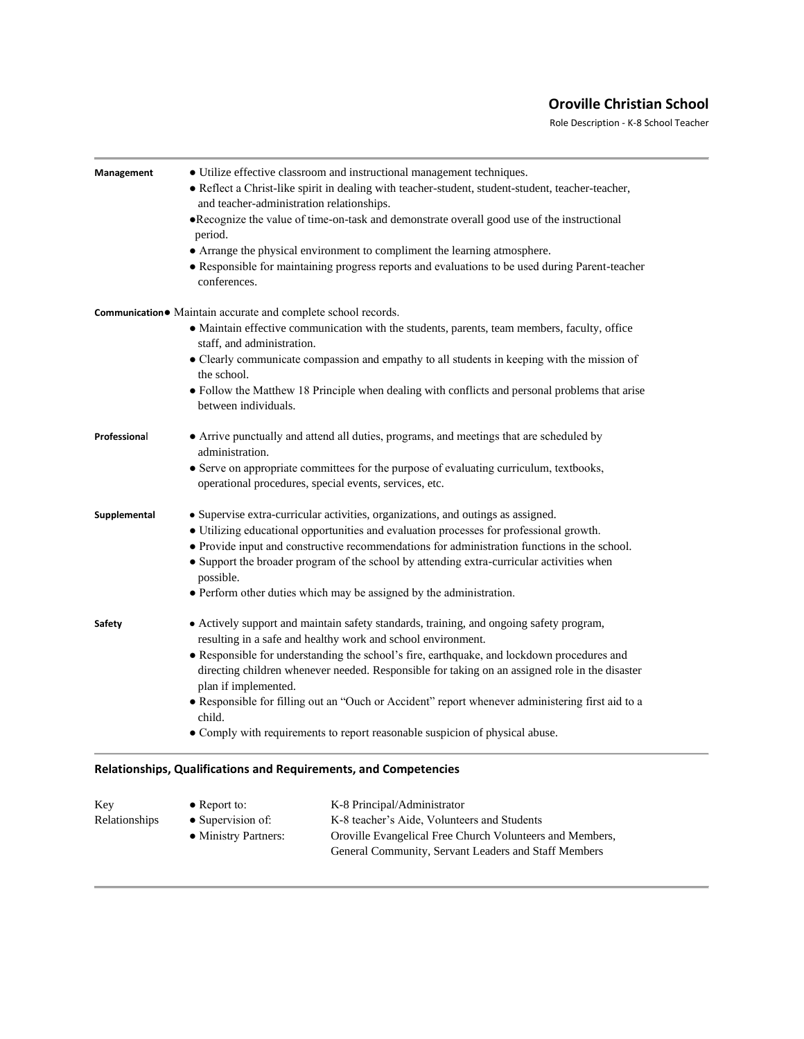## **Oroville Christian School**

Role Description - K-8 School Teacher

| Management   | • Utilize effective classroom and instructional management techniques.                                                                                                                    |
|--------------|-------------------------------------------------------------------------------------------------------------------------------------------------------------------------------------------|
|              | · Reflect a Christ-like spirit in dealing with teacher-student, student-student, teacher-teacher,                                                                                         |
|              | and teacher-administration relationships.                                                                                                                                                 |
|              | •Recognize the value of time-on-task and demonstrate overall good use of the instructional<br>period.                                                                                     |
|              | • Arrange the physical environment to compliment the learning atmosphere.                                                                                                                 |
|              | • Responsible for maintaining progress reports and evaluations to be used during Parent-teacher<br>conferences.                                                                           |
|              | Communication● Maintain accurate and complete school records.                                                                                                                             |
|              | • Maintain effective communication with the students, parents, team members, faculty, office<br>staff, and administration.                                                                |
|              | • Clearly communicate compassion and empathy to all students in keeping with the mission of<br>the school.                                                                                |
|              | • Follow the Matthew 18 Principle when dealing with conflicts and personal problems that arise<br>between individuals.                                                                    |
| Professional | • Arrive punctually and attend all duties, programs, and meetings that are scheduled by<br>administration.                                                                                |
|              | • Serve on appropriate committees for the purpose of evaluating curriculum, textbooks,<br>operational procedures, special events, services, etc.                                          |
| Supplemental | • Supervise extra-curricular activities, organizations, and outings as assigned.                                                                                                          |
|              | • Utilizing educational opportunities and evaluation processes for professional growth.                                                                                                   |
|              | • Provide input and constructive recommendations for administration functions in the school.<br>• Support the broader program of the school by attending extra-curricular activities when |
|              | possible.<br>• Perform other duties which may be assigned by the administration.                                                                                                          |
| Safety       | • Actively support and maintain safety standards, training, and ongoing safety program,<br>resulting in a safe and healthy work and school environment.                                   |
|              | • Responsible for understanding the school's fire, earthquake, and lockdown procedures and                                                                                                |
|              | directing children whenever needed. Responsible for taking on an assigned role in the disaster<br>plan if implemented.                                                                    |
|              | · Responsible for filling out an "Ouch or Accident" report whenever administering first aid to a<br>child.                                                                                |
|              | • Comply with requirements to report reasonable suspicion of physical abuse.                                                                                                              |

| K-8 Principal/Administrator                              |
|----------------------------------------------------------|
| K-8 teacher's Aide, Volunteers and Students              |
| Oroville Evangelical Free Church Volunteers and Members, |
| General Community, Servant Leaders and Staff Members     |
|                                                          |